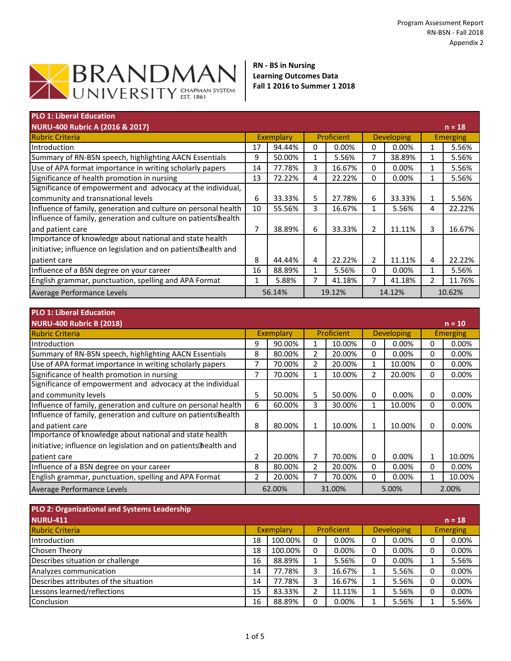

**RN - BS in Nursing Learning Outcomes Data Fall 1 2016 to Summer 1 2018**

| <b>PLO 1: Liberal Education</b>                                 |    |           |   |            |   |                   |               |                 |
|-----------------------------------------------------------------|----|-----------|---|------------|---|-------------------|---------------|-----------------|
| <b>NURU-400 Rubric A (2016 &amp; 2017)</b>                      |    |           |   |            |   |                   |               | $n = 18$        |
| <b>Rubric Criteria</b>                                          |    | Exemplary |   | Proficient |   | <b>Developing</b> |               | <b>Emerging</b> |
| Introduction                                                    | 17 | 94.44%    | 0 | 0.00%      | 0 | 0.00%             |               | 5.56%           |
| Summary of RN-BSN speech, highlighting AACN Essentials          | 9  | 50.00%    | 1 | 5.56%      | 7 | 38.89%            |               | 5.56%           |
| Use of APA format importance in writing scholarly papers        | 14 | 77.78%    | 3 | 16.67%     | 0 | 0.00%             |               | 5.56%           |
| Significance of health promotion in nursing                     | 13 | 72.22%    | 4 | 22.22%     | 0 | 0.00%             |               | 5.56%           |
| Significance of empowerment and advocacy at the individual,     |    |           |   |            |   |                   |               |                 |
| community and transnational levels                              | 6  | 33.33%    | 5 | 27.78%     | 6 | 33.33%            |               | 5.56%           |
| Influence of family, generation and culture on personal health  | 10 | 55.56%    | 3 | 16.67%     | 1 | 5.56%             | 4             | 22.22%          |
| Influence of family, generation and culture on patients health  |    |           |   |            |   |                   |               |                 |
| and patient care                                                | 7  | 38.89%    | 6 | 33.33%     | 2 | 11.11%            | 3.            | 16.67%          |
| Importance of knowledge about national and state health         |    |           |   |            |   |                   |               |                 |
| initiative; influence on legislation and on patients health and |    |           |   |            |   |                   |               |                 |
| patient care                                                    | 8  | 44.44%    | 4 | 22.22%     | 2 | 11.11%            | 4             | 22.22%          |
| Influence of a BSN degree on your career                        | 16 | 88.89%    | 1 | 5.56%      | 0 | 0.00%             |               | 5.56%           |
| English grammar, punctuation, spelling and APA Format           | 1  | 5.88%     |   | 41.18%     |   | 41.18%            | $\mathcal{P}$ | 11.76%          |
| Average Performance Levels                                      |    | 56.14%    |   | 19.12%     |   | 14.12%            |               | 10.62%          |

| <b>PLO 1: Liberal Education</b>                                 |   |           |   |            |   |                   |                 |          |
|-----------------------------------------------------------------|---|-----------|---|------------|---|-------------------|-----------------|----------|
| <b>NURU-400 Rubric B (2018)</b>                                 |   |           |   |            |   |                   |                 | $n = 10$ |
| <b>Rubric Criteria</b>                                          |   | Exemplary |   | Proficient |   | <b>Developing</b> | <b>Emerging</b> |          |
| Introduction                                                    | 9 | 90.00%    |   | 10.00%     | 0 | 0.00%             | 0               | 0.00%    |
| Summary of RN-BSN speech, highlighting AACN Essentials          | 8 | 80.00%    | 2 | 20.00%     | 0 | $0.00\%$          | 0               | 0.00%    |
| Use of APA format importance in writing scholarly papers        |   | 70.00%    | 2 | 20.00%     | 1 | 10.00%            | 0               | 0.00%    |
| Significance of health promotion in nursing                     | 7 | 70.00%    |   | 10.00%     | 2 | 20.00%            | $\mathbf{0}$    | $0.00\%$ |
| Significance of empowerment and advocacy at the individual      |   |           |   |            |   |                   |                 |          |
| and community levels                                            | 5 | 50.00%    | 5 | 50.00%     | 0 | 0.00%             | 0               | $0.00\%$ |
| Influence of family, generation and culture on personal health  | 6 | 60.00%    | 3 | 30.00%     | 1 | 10.00%            | 0               | 0.00%    |
| Influence of family, generation and culture on patients health  |   |           |   |            |   |                   |                 |          |
| and patient care                                                | 8 | 80.00%    | 1 | 10.00%     |   | 10.00%            | 0               | 0.00%    |
| Importance of knowledge about national and state health         |   |           |   |            |   |                   |                 |          |
| initiative; influence on legislation and on patients health and |   |           |   |            |   |                   |                 |          |
| patient care                                                    | 2 | 20.00%    | 7 | 70.00%     | 0 | 0.00%             |                 | 10.00%   |
| Influence of a BSN degree on your career                        | 8 | 80.00%    | 2 | 20.00%     | 0 | 0.00%             | 0               | 0.00%    |
| English grammar, punctuation, spelling and APA Format           | 2 | 20.00%    |   | 70.00%     | 0 | 0.00%             |                 | 10.00%   |
| Average Performance Levels                                      |   | 62.00%    |   | 31.00%     |   | 5.00%             |                 | 2.00%    |

| PLO 2: Organizational and Systems Leadership |    |           |   |            |   |                   |                 |
|----------------------------------------------|----|-----------|---|------------|---|-------------------|-----------------|
| <b>NURU-411</b>                              |    |           |   |            |   |                   | $n = 18$        |
| <b>Rubric Criteria</b>                       |    | Exemplary |   | Proficient |   | <b>Developing</b> | <b>Emerging</b> |
| Introduction                                 | 18 | 100.00%   | 0 | 0.00%      | 0 | $0.00\%$          | 0.00%           |
| <b>Chosen Theory</b>                         | 18 | 100.00%   | 0 | $0.00\%$   | 0 | $0.00\%$          | 0.00%           |
| Describes situation or challenge             | 16 | 88.89%    |   | 5.56%      | 0 | $0.00\%$          | 5.56%           |
| Analyzes communication                       | 14 | 77.78%    |   | 16.67%     |   | 5.56%             | 0.00%           |
| Describes attributes of the situation        | 14 | 77.78%    |   | 16.67%     |   | 5.56%             | 0.00%           |
| Lessons learned/reflections                  | 15 | 83.33%    |   | 11.11%     |   | 5.56%             | 0.00%           |
| Conclusion                                   | 16 | 88.89%    | U | 0.00%      |   | 5.56%             | 5.56%           |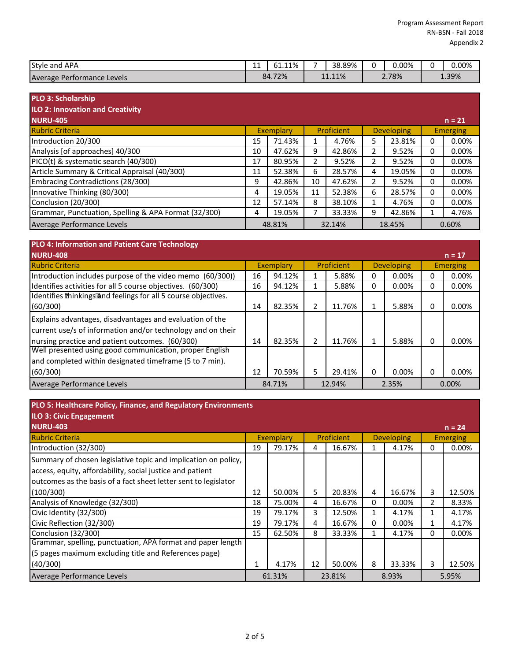| Style and<br>APA                  | -- | 51.11% | - | 38.89% | 0.00% | 0.00% |
|-----------------------------------|----|--------|---|--------|-------|-------|
| Average<br>: Performance Levels . |    | 84.72% |   | 11.11% | 2.78% | 1.39% |

| <b>PLO 3: Scholarship</b>                            |    |                  |    |            |                |                   |   |                 |
|------------------------------------------------------|----|------------------|----|------------|----------------|-------------------|---|-----------------|
| <b>ILO 2: Innovation and Creativity</b>              |    |                  |    |            |                |                   |   |                 |
| <b>NURU-405</b>                                      |    |                  |    |            |                |                   |   | $n = 21$        |
| <b>Rubric Criteria</b>                               |    | <b>Exemplary</b> |    | Proficient |                | <b>Developing</b> |   | <b>Emerging</b> |
| Introduction 20/300                                  | 15 | 71.43%           |    | 4.76%      | 5              | 23.81%            | 0 | 0.00%           |
| Analysis [of approaches] 40/300                      | 10 | 47.62%           | 9  | 42.86%     |                | 9.52%             | 0 | $0.00\%$        |
| PICO(t) & systematic search (40/300)                 | 17 | 80.95%           | 2  | 9.52%      | $\mathfrak{p}$ | 9.52%             | 0 | 0.00%           |
| Article Summary & Critical Appraisal (40/300)        | 11 | 52.38%           | 6  | 28.57%     | 4              | 19.05%            | 0 | 0.00%           |
| Embracing Contradictions (28/300)                    | 9  | 42.86%           | 10 | 47.62%     | 2              | 9.52%             | 0 | $0.00\%$        |
| Innovative Thinking (80/300)                         | 4  | 19.05%           | 11 | 52.38%     | 6              | 28.57%            | 0 | $0.00\%$        |
| Conclusion (20/300)                                  | 12 | 57.14%           | 8  | 38.10%     |                | 4.76%             | 0 | $0.00\%$        |
| Grammar, Punctuation, Spelling & APA Format (32/300) | 4  | 19.05%           |    | 33.33%     | q              | 42.86%            |   | 4.76%           |
| Average Performance Levels                           |    | 48.81%           |    | 32.14%     |                | 18.45%            |   | 0.60%           |

| <b>PLO 4: Information and Patient Care Technology</b>          |           |        |            |        |                   |       |              |                 |
|----------------------------------------------------------------|-----------|--------|------------|--------|-------------------|-------|--------------|-----------------|
| <b>NURU-408</b>                                                |           |        |            |        |                   |       |              | $n = 17$        |
| <b>Rubric Criteria</b>                                         | Exemplary |        | Proficient |        | <b>Developing</b> |       |              | <b>Emerging</b> |
| Introduction includes purpose of the video memo (60/300))      | 16        | 94.12% |            | 5.88%  | O                 | 0.00% |              | $0.00\%$        |
| Identifies activities for all 5 course objectives. (60/300)    | 16        | 94.12% |            | 5.88%  | 0                 | 0.00% | $\Omega$     | 0.00%           |
| Identifies thinkings and feelings for all 5 course objectives. |           |        |            |        |                   |       |              |                 |
| (60/300)                                                       | 14        | 82.35% | 2          | 11.76% |                   | 5.88% | 0            | $0.00\%$        |
| Explains advantages, disadvantages and evaluation of the       |           |        |            |        |                   |       |              |                 |
| current use/s of information and/or technology and on their    |           |        |            |        |                   |       |              |                 |
| nursing practice and patient outcomes. (60/300)                | 14        | 82.35% | 2          | 11.76% |                   | 5.88% | $\Omega$     | $0.00\%$        |
| Well presented using good communication, proper English        |           |        |            |        |                   |       |              |                 |
| and completed within designated timeframe (5 to 7 min).        |           |        |            |        |                   |       |              |                 |
| (60/300)                                                       | 12        | 70.59% | 5          | 29.41% |                   | 0.00% | <sup>0</sup> | 0.00%           |
| Average Performance Levels                                     |           | 84.71% |            | 12.94% |                   | 2.35% |              | 0.00%           |

| PLO 5: Healthcare Policy, Finance, and Regulatory Environments |  |
|----------------------------------------------------------------|--|
|----------------------------------------------------------------|--|

| <b>ILO 3: Civic Engagement</b>                                  |    |           |    |            |   |                   |          |          |
|-----------------------------------------------------------------|----|-----------|----|------------|---|-------------------|----------|----------|
| <b>NURU-403</b>                                                 |    |           |    |            |   |                   |          | $n = 24$ |
| <b>Rubric Criteria</b>                                          |    | Exemplary |    | Proficient |   | <b>Developing</b> | Emerging |          |
| Introduction (32/300)                                           | 19 | 79.17%    | 4  | 16.67%     |   | 4.17%             | 0        | 0.00%    |
| Summary of chosen legislative topic and implication on policy,  |    |           |    |            |   |                   |          |          |
| access, equity, affordability, social justice and patient       |    |           |    |            |   |                   |          |          |
| outcomes as the basis of a fact sheet letter sent to legislator |    |           |    |            |   |                   |          |          |
| (100/300)                                                       | 12 | 50.00%    | 5  | 20.83%     | 4 | 16.67%            | 3        | 12.50%   |
| Analysis of Knowledge (32/300)                                  | 18 | 75.00%    | 4  | 16.67%     | 0 | $0.00\%$          | 2        | 8.33%    |
| Civic Identity (32/300)                                         | 19 | 79.17%    | 3  | 12.50%     |   | 4.17%             |          | 4.17%    |
| Civic Reflection (32/300)                                       | 19 | 79.17%    | 4  | 16.67%     | 0 | 0.00%             |          | 4.17%    |
| Conclusion (32/300)                                             | 15 | 62.50%    | 8  | 33.33%     |   | 4.17%             | $\Omega$ | 0.00%    |
| Grammar, spelling, punctuation, APA format and paper length     |    |           |    |            |   |                   |          |          |
| (5 pages maximum excluding title and References page)           |    |           |    |            |   |                   |          |          |
| (40/300)                                                        |    | 4.17%     | 12 | 50.00%     | 8 | 33.33%            | 3        | 12.50%   |
| Average Performance Levels                                      |    | 61.31%    |    | 23.81%     |   | 8.93%             |          | 5.95%    |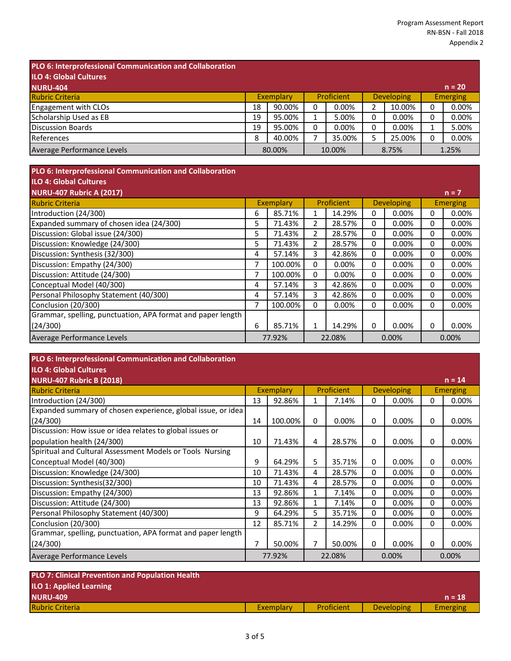| PLO 6: Interprofessional Communication and Collaboration |    |           |   |                   |   |                   |   |                 |
|----------------------------------------------------------|----|-----------|---|-------------------|---|-------------------|---|-----------------|
| <b>ILO 4: Global Cultures</b>                            |    |           |   |                   |   |                   |   |                 |
| <b>NURU-404</b>                                          |    |           |   |                   |   |                   |   | $n = 20$        |
| <b>Rubric Criteria</b>                                   |    | Exemplary |   | <b>Proficient</b> |   | <b>Developing</b> |   | <b>Emerging</b> |
| Engagement with CLOs                                     | 18 | 90.00%    | 0 | 0.00%             | 2 | 10.00%            | 0 | 0.00%           |
| Scholarship Used as EB                                   | 19 | 95.00%    |   | 5.00%             | 0 | 0.00%             | 0 | 0.00%           |
| Discussion Boards                                        | 19 | 95.00%    | 0 | 0.00%             | 0 | 0.00%             |   | 5.00%           |
| References                                               | 8  | 40.00%    |   | 35.00%            | 5 | 25.00%            | 0 | 0.00%           |
| Average Performance Levels                               |    | 80.00%    |   | 10.00%            |   | 8.75%             |   | 1.25%           |

| PLO 6: Interprofessional Communication and Collaboration    |    |           |   |            |   |                   |   |                 |
|-------------------------------------------------------------|----|-----------|---|------------|---|-------------------|---|-----------------|
| <b>ILO 4: Global Cultures</b>                               |    |           |   |            |   |                   |   |                 |
| <b>NURU-407 Rubric A (2017)</b>                             |    |           |   |            |   |                   |   | $n = 7$         |
| <b>Rubric Criteria</b>                                      |    | Exemplary |   | Proficient |   | <b>Developing</b> |   | <b>Emerging</b> |
| Introduction (24/300)                                       | 6  | 85.71%    | 1 | 14.29%     | 0 | 0.00%             | 0 | 0.00%           |
| Expanded summary of chosen idea (24/300)                    | 5. | 71.43%    | 2 | 28.57%     | 0 | 0.00%             | 0 | 0.00%           |
| Discussion: Global issue (24/300)                           | 5  | 71.43%    | 2 | 28.57%     | 0 | 0.00%             | 0 | 0.00%           |
| Discussion: Knowledge (24/300)                              | 5  | 71.43%    | 2 | 28.57%     | 0 | 0.00%             | 0 | 0.00%           |
| Discussion: Synthesis (32/300)                              | 4  | 57.14%    | 3 | 42.86%     | 0 | 0.00%             | 0 | 0.00%           |
| Discussion: Empathy (24/300)                                |    | 100.00%   | 0 | 0.00%      | 0 | 0.00%             | 0 | 0.00%           |
| Discussion: Attitude (24/300)                               | 7  | 100.00%   | 0 | 0.00%      | 0 | 0.00%             | 0 | 0.00%           |
| Conceptual Model (40/300)                                   | 4  | 57.14%    | 3 | 42.86%     | 0 | 0.00%             | 0 | 0.00%           |
| Personal Philosophy Statement (40/300)                      | 4  | 57.14%    | 3 | 42.86%     | 0 | 0.00%             | 0 | 0.00%           |
| Conclusion (20/300)                                         | 7  | 100.00%   | 0 | $0.00\%$   | 0 | 0.00%             | 0 | 0.00%           |
| Grammar, spelling, punctuation, APA format and paper length |    |           |   |            |   |                   |   |                 |
| (24/300)                                                    | 6  | 85.71%    | 1 | 14.29%     | 0 | 0.00%             | 0 | 0.00%           |
| Average Performance Levels                                  |    | 77.92%    |   | 22.08%     |   | 0.00%             |   | 0.00%           |

| PLO 6: Interprofessional Communication and Collaboration     |                                                     |         |              |                 |   |          |   |          |
|--------------------------------------------------------------|-----------------------------------------------------|---------|--------------|-----------------|---|----------|---|----------|
| <b>ILO 4: Global Cultures</b>                                |                                                     |         |              |                 |   |          |   |          |
| <b>NURU-407 Rubric B (2018)</b>                              |                                                     |         |              |                 |   |          |   | $n = 14$ |
| <b>Rubric Criteria</b>                                       | Proficient<br><b>Exemplary</b><br><b>Developing</b> |         |              | <b>Emerging</b> |   |          |   |          |
| Introduction (24/300)                                        | 13                                                  | 92.86%  | 1            | 7.14%           | 0 | $0.00\%$ | 0 | 0.00%    |
| Expanded summary of chosen experience, global issue, or idea |                                                     |         |              |                 |   |          |   |          |
| (24/300)                                                     | 14                                                  | 100.00% | 0            | 0.00%           | 0 | 0.00%    | 0 | 0.00%    |
| Discussion: How issue or idea relates to global issues or    |                                                     |         |              |                 |   |          |   |          |
| population health (24/300)                                   | 10                                                  | 71.43%  | 4            | 28.57%          | 0 | 0.00%    | 0 | 0.00%    |
| Spiritual and Cultural Assessment Models or Tools Nursing    |                                                     |         |              |                 |   |          |   |          |
| Conceptual Model (40/300)                                    | 9                                                   | 64.29%  | 5            | 35.71%          | 0 | 0.00%    | 0 | 0.00%    |
| Discussion: Knowledge (24/300)                               | 10                                                  | 71.43%  | 4            | 28.57%          | 0 | 0.00%    | 0 | 0.00%    |
| Discussion: Synthesis(32/300)                                | 10                                                  | 71.43%  | 4            | 28.57%          | 0 | 0.00%    | 0 | $0.00\%$ |
| Discussion: Empathy (24/300)                                 | 13                                                  | 92.86%  | $\mathbf{1}$ | 7.14%           | 0 | 0.00%    | 0 | 0.00%    |
| Discussion: Attitude (24/300)                                | 13                                                  | 92.86%  | 1            | 7.14%           | 0 | 0.00%    | 0 | 0.00%    |
| Personal Philosophy Statement (40/300)                       | 9                                                   | 64.29%  | 5            | 35.71%          | 0 | 0.00%    | 0 | 0.00%    |
| Conclusion (20/300)                                          | 12                                                  | 85.71%  | 2            | 14.29%          | 0 | 0.00%    | 0 | $0.00\%$ |
| Grammar, spelling, punctuation, APA format and paper length  |                                                     |         |              |                 |   |          |   |          |
| (24/300)                                                     | 7                                                   | 50.00%  | 7            | 50.00%          | 0 | 0.00%    | 0 | $0.00\%$ |
| Average Performance Levels                                   |                                                     | 77.92%  |              | 22.08%          |   | 0.00%    |   | 0.00%    |
|                                                              |                                                     |         |              |                 |   |          |   |          |

| <b>PLO 7: Clinical Prevention and Population Health</b> |           |            |                   |                 |
|---------------------------------------------------------|-----------|------------|-------------------|-----------------|
| <b>ILO 1: Applied Learning</b>                          |           |            |                   |                 |
| <b>NURU-409</b>                                         |           |            |                   | $n = 18$        |
| <b>Rubric Criteria</b>                                  | Exemplary | Proficient | <b>Developing</b> | <b>Emerging</b> |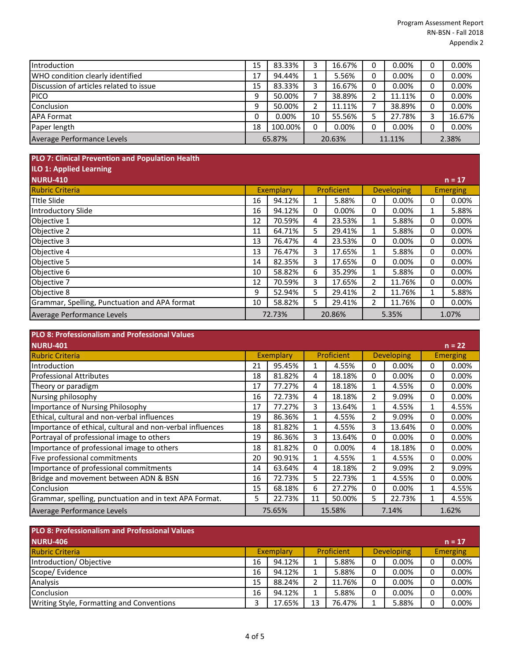| Introduction                            | 15     | 83.33%  |        | 16.67% |        | 0.00%    |       | 0.00%  |
|-----------------------------------------|--------|---------|--------|--------|--------|----------|-------|--------|
| WHO condition clearly identified        | 17     | 94.44%  |        | 5.56%  |        | $0.00\%$ |       | 0.00%  |
| Discussion of articles related to issue | 15     | 83.33%  |        | 16.67% |        | 0.00%    |       | 0.00%  |
| <b>PICO</b>                             | 9      | 50.00%  |        | 38.89% |        | 11.11%   |       | 0.00%  |
| Conclusion                              | 9      | 50.00%  |        | 11.11% |        | 38.89%   |       | 0.00%  |
| <b>APA Format</b>                       |        | 0.00%   | 10     | 55.56% |        | 27.78%   |       | 16.67% |
| Paper length                            | 18     | 100.00% |        | 0.00%  |        | 0.00%    |       | 0.00%  |
| Average Performance Levels              | 65.87% |         | 20.63% |        | 11.11% |          | 2.38% |        |

## **PLO 7: Clinical Prevention and Population Health**

| <b>ILO 1: Applied Learning</b>                |           |        |            |        |                   |          |                 |          |
|-----------------------------------------------|-----------|--------|------------|--------|-------------------|----------|-----------------|----------|
| <b>NURU-410</b>                               |           |        |            |        |                   |          |                 | $n = 17$ |
| <b>Rubric Criteria</b>                        | Exemplary |        | Proficient |        | <b>Developing</b> |          | <b>Emerging</b> |          |
| <b>Title Slide</b>                            | 16        | 94.12% |            | 5.88%  | 0                 | $0.00\%$ | 0               | $0.00\%$ |
| Introductory Slide                            | 16        | 94.12% | 0          | 0.00%  | 0                 | $0.00\%$ | 1               | 5.88%    |
| Objective 1                                   | 12        | 70.59% | 4          | 23.53% |                   | 5.88%    | 0               | 0.00%    |
| Objective 2                                   | 11        | 64.71% | 5          | 29.41% |                   | 5.88%    | 0               | 0.00%    |
| Objective 3                                   | 13        | 76.47% | 4          | 23.53% | 0                 | 0.00%    | 0               | 0.00%    |
| Objective 4                                   | 13        | 76.47% | 3          | 17.65% | ◢                 | 5.88%    | 0               | 0.00%    |
| Objective 5                                   | 14        | 82.35% | 3          | 17.65% | 0                 | $0.00\%$ | 0               | 0.00%    |
| Objective 6                                   | 10        | 58.82% | 6          | 35.29% |                   | 5.88%    | 0               | $0.00\%$ |
| Objective 7                                   | 12        | 70.59% | 3          | 17.65% | 2                 | 11.76%   | 0               | $0.00\%$ |
| Objective 8                                   | 9         | 52.94% | 5          | 29.41% | 2                 | 11.76%   |                 | 5.88%    |
| Grammar, Spelling, Punctuation and APA format | 10        | 58.82% | 5          | 29.41% | 2                 | 11.76%   | 0               | 0.00%    |
| Average Performance Levels                    | 72.73%    |        | 20.86%     |        | 5.35%             |          | 1.07%           |          |

## **PLO 8: Professionalism and Professional Values NURU-401 n = 22** Rubric Criteria Introduction 21 95.45% 1 4.55% 0 0.00% 0 0.00% Professional Attributes 18 81.82% 4 18.18% 0 0.00% 0 0.00% Theory or paradigm 17 | 17 | 17.27% | 4 | 18.18% | 1 | 4.55% | 0 | 0.00% Nursing philosophy 16 | 72.73% 4 | 18.18% 2 | 9.09% | 0 | 0.00% Importance of Nursing Philosophy 2012 17 17.27% 3 13.64% 1 4.55% 1 4.55% Ethical, cultural and non-verbal influences 19 86.36% 1 4.55% 2 9.09% 0 0.00% Importance of ethical, cultural and non-verbal influences 18 81.82% 1 4.55% 3 13.64% 0 0.00% Portrayal of professional image to others 19 19 86.36% 3 13.64% 0 0.00% 0 0.00% Importance of professional image to others 18 | 81.82% 0 0.00% 4 | 18.18% 0 0.00% Five professional commitments<br>
Importance of professional commitments<br>
19.09% 1 2 1 9.09% 1 2 1 9.09% Importance of professional commitments **14 163.64% 4 18.18% 2 9.09%** 2 9.09% Bridge and movement between ADN & BSN 16 72.73% 5 22.73% 1 4.55% 0 0.00% Conclusion 15 68.18% 6 27.27% 0 0.00% 1 4.55% Grammar, spelling, punctuation and in text APA Format. 5 22.73% 11 50.00% 5 22.73% 1 4.55% Average Performance Levels Exemplary Proficient Developing Emerging 75.65% 15.58% 7.14% 1.62%

| <b>PLO 8: Professionalism and Professional Values</b> |           |        |            |        |                   |          |                 |          |
|-------------------------------------------------------|-----------|--------|------------|--------|-------------------|----------|-----------------|----------|
| <b>NURU-406</b>                                       |           |        |            |        |                   |          |                 | $n = 17$ |
| <b>Rubric Criteria</b>                                | Exemplary |        | Proficient |        | <b>Developing</b> |          | <b>Emerging</b> |          |
| Introduction/Objective                                | 16        | 94.12% |            | 5.88%  |                   | 0.00%    |                 | 0.00%    |
| Scope/ Evidence                                       | 16        | 94.12% |            | 5.88%  | 0                 | $0.00\%$ |                 | 0.00%    |
| Analysis                                              | 15        | 88.24% |            | 11.76% |                   | $0.00\%$ |                 | 0.00%    |
| Conclusion                                            | 16        | 94.12% |            | 5.88%  | 0                 | $0.00\%$ |                 | 0.00%    |
| Writing Style, Formatting and Conventions             |           | 17.65% | 13         | 76.47% |                   | 5.88%    |                 | 0.00%    |